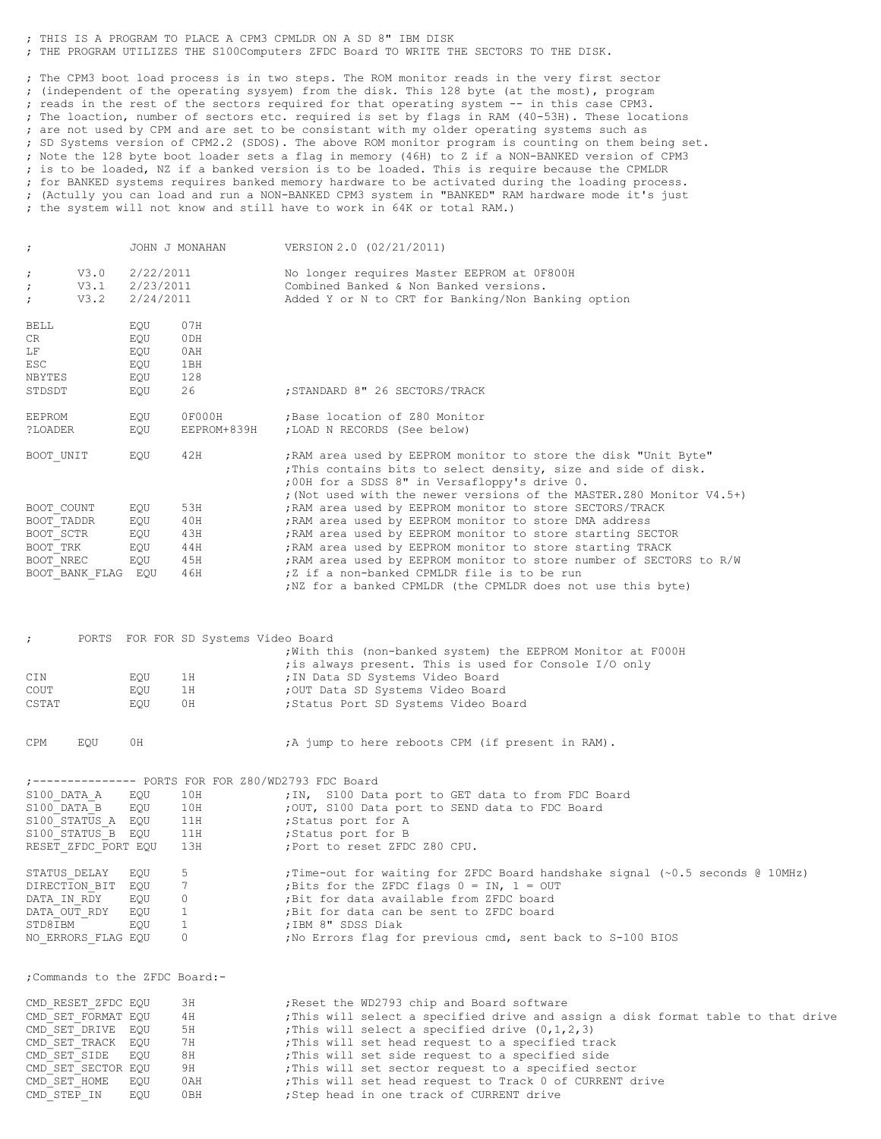; THIS IS A PROGRAM TO PLACE A CPM3 CPMLDR ON A SD 8" IBM DISK ; THE PROGRAM UTILIZES THE S100Computers ZFDC Board TO WRITE THE SECTORS TO THE DISK.

; The CPM3 boot load process is in two steps. The ROM monitor reads in the very first sector ; (independent of the operating sysyem) from the disk. This 128 byte (at the most), program ; reads in the rest of the sectors required for that operating system -- in this case CPM3. ; The loaction, number of sectors etc. required is set by flags in RAM (40-53H). These locations ; are not used by CPM and are set to be consistant with my older operating systems such as ; SD Systems version of CPM2.2 (SDOS). The above ROM monitor program is counting on them being set. ; Note the 128 byte boot loader sets a flag in memory (46H) to Z if a NON-BANKED version of CPM3 ; is to be loaded, NZ if a banked version is to be loaded. This is require because the CPMLDR ; for BANKED systems requires banked memory hardware to be activated during the loading process. ; (Actully you can load and run a NON-BANKED CPM3 system in "BANKED" RAM hardware mode it's just ; the system will not know and still have to work in 64K or total RAM.)

| $\ddot{ }$                             |                                   |                                     | JOHN J MONAHAN                       | VERSION 2.0 (02/21/2011)                                                                                                                                                                |
|----------------------------------------|-----------------------------------|-------------------------------------|--------------------------------------|-----------------------------------------------------------------------------------------------------------------------------------------------------------------------------------------|
| $\ddot{ }$<br>$\ddot{ }$<br>$\ddot{ }$ | V3.0<br>V3.1<br>V3.2              | 2/22/2011<br>2/23/2011<br>2/24/2011 |                                      | No longer requires Master EEPROM at OF800H<br>Combined Banked & Non Banked versions.<br>Added Y or N to CRT for Banking/Non Banking option                                              |
| BELL<br>CR<br>LF<br>ESC                |                                   | EQU<br>EQU<br>EQU<br>EQU            | 07H<br>0DH<br>0AH<br>1BH             |                                                                                                                                                                                         |
| NBYTES<br>STDSDT                       |                                   | EQU<br>EQU                          | 128<br>26                            | ; STANDARD 8" 26 SECTORS/TRACK                                                                                                                                                          |
| EEPROM<br>?LOADER                      |                                   | EQU<br>EQU                          | 0F000H<br>EEPROM+839H                | ; Base location of Z80 Monitor<br>; LOAD N RECORDS (See below)                                                                                                                          |
| BOOT UNIT                              |                                   | EQU                                 | 42H                                  | ; RAM area used by EEPROM monitor to store the disk "Unit Byte"                                                                                                                         |
|                                        |                                   |                                     |                                      | ; This contains bits to select density, size and side of disk.<br>;00H for a SDSS 8" in Versafloppy's drive 0.<br>; (Not used with the newer versions of the MASTER. Z80 Monitor V4.5+) |
| BOOT COUNT                             |                                   | EQU                                 | 53H                                  | ; RAM area used by EEPROM monitor to store SECTORS/TRACK                                                                                                                                |
| BOOT TADDR                             |                                   | EQU                                 | 40H                                  | ; RAM area used by EEPROM monitor to store DMA address                                                                                                                                  |
| BOOT SCTR                              |                                   | EQU                                 | 43H                                  | ; RAM area used by EEPROM monitor to store starting SECTOR                                                                                                                              |
| BOOT TRK                               |                                   | EQU                                 | 44H<br>45H                           | ; RAM area used by EEPROM monitor to store starting TRACK                                                                                                                               |
| BOOT NREC                              | BOOT BANK FLAG EQU                | EQU                                 | 46H                                  | ; RAM area used by EEPROM monitor to store number of SECTORS to R/W<br>;Z if a non-banked CPMLDR file is to be run                                                                      |
|                                        |                                   |                                     |                                      | ; NZ for a banked CPMLDR (the CPMLDR does not use this byte)                                                                                                                            |
|                                        |                                   |                                     |                                      |                                                                                                                                                                                         |
| $\ddot{ }$                             |                                   |                                     | PORTS FOR FOR SD Systems Video Board | ; With this (non-banked system) the EEPROM Monitor at F000H                                                                                                                             |
|                                        |                                   |                                     |                                      | ; is always present. This is used for Console I/O only                                                                                                                                  |
| CIN                                    |                                   | EQU                                 | 1H                                   | ; IN Data SD Systems Video Board                                                                                                                                                        |
| COUT                                   |                                   | EQU                                 | 1H                                   | ; OUT Data SD Systems Video Board                                                                                                                                                       |
| CSTAT                                  |                                   | EQU                                 | 0H                                   | ; Status Port SD Systems Video Board                                                                                                                                                    |
| CPM                                    | EQU                               | 0H                                  |                                      | A jump to here reboots CPM (if present in RAM).                                                                                                                                         |
|                                        |                                   |                                     |                                      | ;-------------- PORTS FOR FOR Z80/WD2793 FDC Board                                                                                                                                      |
| S100 DATA B                            | S100 DATA A                       | EQU<br>EQU                          | 10H<br>10H                           | ; IN, S100 Data port to GET data to from FDC Board<br>;OUT, S100 Data port to SEND data to FDC Board                                                                                    |
|                                        | S100 STATUS A EQU                 |                                     | 11H                                  | ;Status port for A                                                                                                                                                                      |
|                                        | S100 STATUS B EQU                 |                                     | 11H                                  | ;Status port for B                                                                                                                                                                      |
|                                        | RESET ZFDC PORT EQU               |                                     | 13H                                  | ; Port to reset ZFDC Z80 CPU.                                                                                                                                                           |
|                                        | STATUS DELAY                      | EQU                                 | 5                                    | ; Time-out for waiting for ZFDC Board handshake signal $(\sim 0.5$ seconds @ 10MHz)                                                                                                     |
|                                        | DIRECTION_BIT EQU                 |                                     | 7                                    | ; Bits for the ZFDC flags $0 = IN$ , $1 = OUT$                                                                                                                                          |
| DATA IN RDY                            |                                   | EQU                                 | 0                                    | ; Bit for data available from ZFDC board                                                                                                                                                |
| STD8IBM                                | DATA OUT RDY                      | EQU<br>EQU                          | $\mathbf{1}$<br>$\mathbf{1}$         | ; Bit for data can be sent to ZFDC board<br>; IBM 8" SDSS Diak                                                                                                                          |
|                                        | NO ERRORS FLAG EQU                |                                     | 0                                    | ; No Errors flag for previous cmd, sent back to S-100 BIOS                                                                                                                              |
|                                        | ; Commands to the ZFDC Board:-    |                                     |                                      |                                                                                                                                                                                         |
|                                        | CMD RESET ZFDC EQU                |                                     | ЗН                                   | Reset the WD2793 chip and Board software                                                                                                                                                |
|                                        | CMD SET FORMAT EQU                |                                     | 4 H                                  | ; This will select a specified drive and assign a disk format table to that drive                                                                                                       |
|                                        | CMD SET DRIVE                     | EQU                                 | 5H                                   | ; This will select a specified drive $(0,1,2,3)$                                                                                                                                        |
|                                        | CMD SET TRACK EQU<br>CMD SET SIDE | EQU                                 | 7H<br>8H                             | ; This will set head request to a specified track<br>; This will set side request to a specified side                                                                                   |
|                                        | CMD SET SECTOR EQU                |                                     | 9H                                   | ; This will set sector request to a specified sector                                                                                                                                    |
|                                        | CMD SET HOME                      | EQU                                 | 0AH                                  | ; This will set head request to Track 0 of CURRENT drive                                                                                                                                |
| CMD STEP IN                            |                                   | EQU                                 | 0BH                                  | ; Step head in one track of CURRENT drive                                                                                                                                               |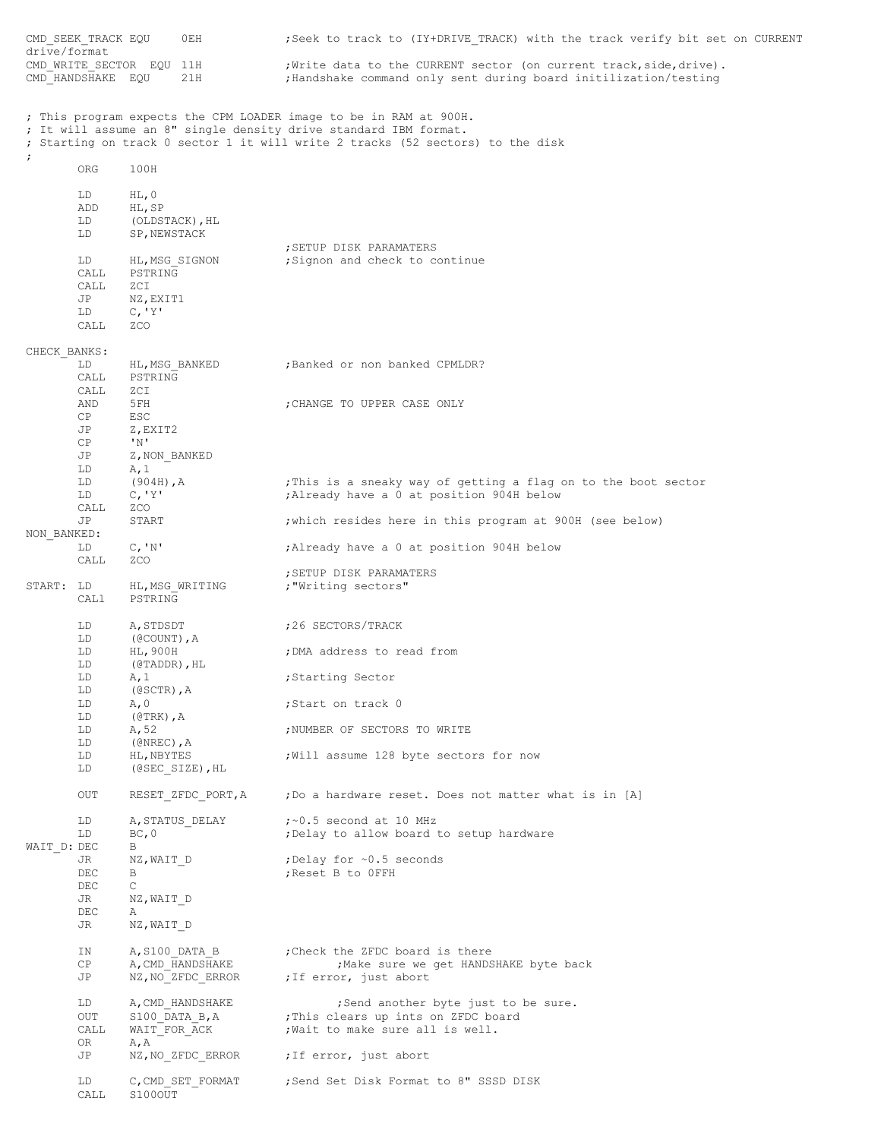CMD SEEK TRACK EQU 0EH ;Seek to track to (IY+DRIVE TRACK) with the track verify bit set on CURRENT drive/format<br>CMD WRITE SECTOR EQU 11H CMD\_WRITE\_SECTOR EQU 11H ; Write data to the CURRENT sector (on current track, side, drive).<br>CMD HANDSHAKE EQU 21H ; Handshake command only sent during board initilization/testing ; Handshake command only sent during board initilization/testing ; This program expects the CPM LOADER image to be in RAM at 900H. ; It will assume an 8" single density drive standard IBM format. ; Starting on track 0 sector 1 it will write 2 tracks (52 sectors) to the disk ; ORG 100H LD HL,0 ADD HL, SP<br>LD (OLDS' (OLDSTACK), HL LD SP,NEWSTACK ;SETUP DISK PARAMATERS LD HL, MSG SIGNON ; Signon and check to continue CALL PSTRING CALL ZCT JP NZ,EXIT1 LD C,'Y' CALL ZCO CHECK\_BANKS: LD HL, MSG\_BANKED ;Banked or non banked CPMLDR?<br>CALL PSTRING PSTRING CALL ZCI AND 5FH ;CHANGE TO UPPER CASE ONLY CP ESC JP Z, EXIT2 CP 'N' JP Z, NON BANKED  $LD$   $A, 1$ LD (904H), A ;This is a sneaky way of getting a flag on to the boot sector LD C,'Y' ;Already have a 0 at position 904H below CALL ZCO<br>JP START ; which resides here in this program at 900H (see below) NON\_BANKED: LD C,'N' ;Already have a 0 at position 904H below<br>CALL ZCO  $ZCO$ ;SETUP DISK PARAMATERS START: LD HL, MSG WRITING ; "Writing sectors" CALl PSTRING LD A, STDSDT ;26 SECTORS/TRACK LD (@COUNT),A LD HL, 900H ; DMA address to read from LD (@TADDR),HL LD A, 1 ;Starting Sector LD (@SCTR), A<br>LD A, 0 ; Start on track 0 LD (@TRK),A LD A, 52 ;NUMBER OF SECTORS TO WRITE LD (@NREC),A LD HL, NBYTES ; Will assume 128 byte sectors for now LD (@SEC\_SIZE),HL OUT RESET ZFDC PORT, A ; Do a hardware reset. Does not matter what is in [A] LD A, STATUS DELAY  $:$   $:$   $\sim$  0.5 second at 10 MHz LD  $BC, 0$   $\overline{\phantom{a}}$  ; Delay to allow board to setup hardware WAIT D: DEC B JR NZ, WAIT D ;Delay for ~0.5 seconds DEC B ; Reset B to OFFH DEC C JR NZ, WAIT D DEC A JR NZ, WAIT D IN A, S100\_DATA\_B ;Check the ZFDC board is there<br>CP A, CMD HANDSHAKE ;Make sure we get HANDS CP A, CMD HANDSHAKE ;Make sure we get HANDSHAKE byte back<br>
JP NZ, NO ZFDC ERROR ; If error, just abort JP NZ, NO ZFDC ERROR ; If error, just abort LD A, CMD HANDSHAKE ; Send another byte just to be sure. OUT S100\_DATA\_B, A ;This clears up ints on ZFDC board<br>CALL WAIT FOR ACK ;Wait to make sure all is well. CALL WAIT FOR ACK ; Wait to make sure all is well. OR A, A JP NZ, NO ZFDC ERROR ; If error, just abort LD C, CMD SET FORMAT ;Send Set Disk Format to 8" SSSD DISK CALL S100OUT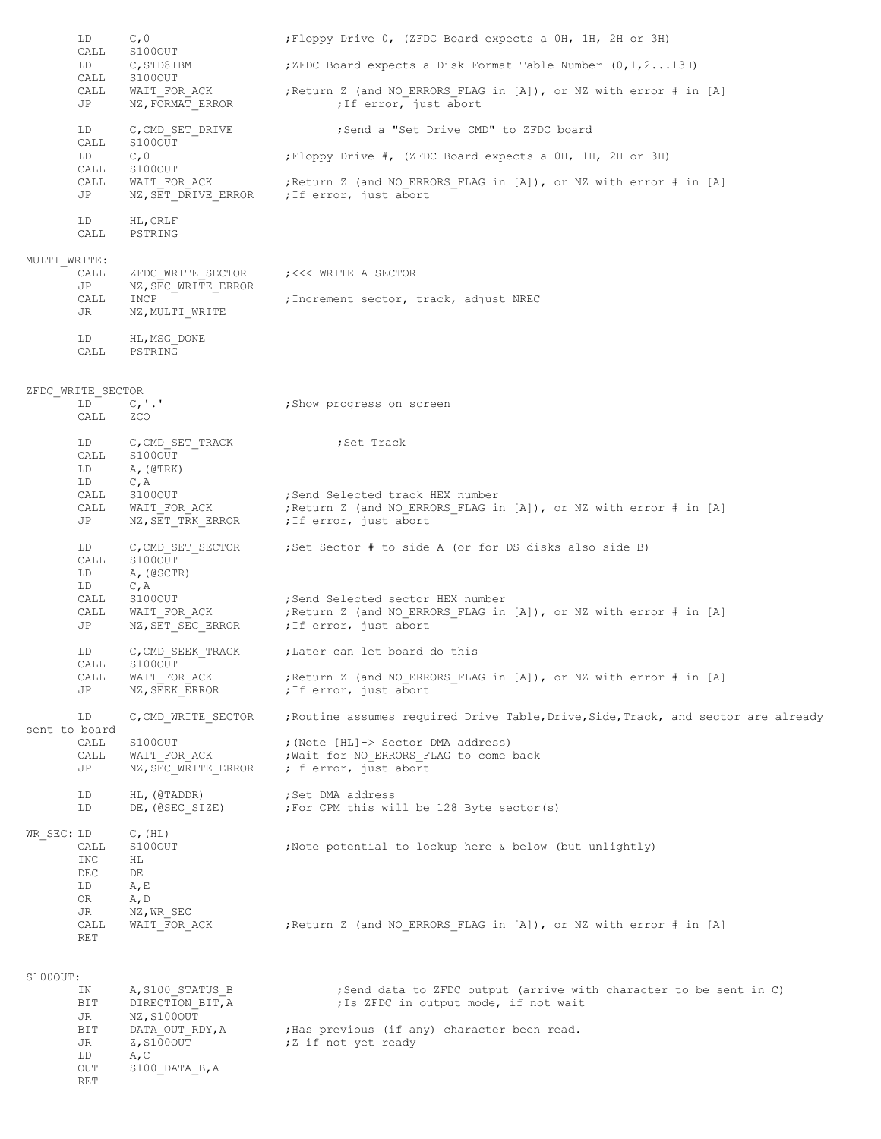LD C, 0 : Floppy Drive 0, (ZFDC Board expects a OH, 1H, 2H or 3H) CALL S100OUT LD C, STD8IBM ; ZFDC Board expects a Disk Format Table Number (0,1,2...13H) CALL S100OUT CALL WAIT FOR ACK ;Return Z (and NO ERRORS FLAG in [A]), or NZ with error # in [A] JP NZ, FORMAT ERROR  $\overline{J}$  ; If error, just abort LD C, CMD SET DRIVE ;Send a "Set Drive CMD" to ZFDC board CALL S100OUT LD C, 0 : Floppy Drive #, (ZFDC Board expects a OH, 1H, 2H or 3H) CALL S100OUT<br>CALL WAIT FOR ACK CALL WAIT FOR ACK ;Return Z (and NO ERRORS FLAG in [A]), or NZ with error # in [A] JP NZ, SET DRIVE ERROR ; If error, just abort LD HL,CRLF CALL PSTRING MULTI\_WRITE: CALL ZFDC WRITE SECTOR ; <<< WRITE A SECTOR JP NZ, SEC\_WRITE\_ERROR CALL INCP  $\overline{\phantom{a}}$  ; Increment sector, track, adjust NREC JR NZ, MULTI WRITE LD HL,MSG\_DONE CALL PSTRING ZFDC\_WRITE\_SECTOR LD C,'.' ; ;Show progress on screen CALL ZCO LD C, CMD SET TRACK ;Set Track CALL S100OUT LD A,(@TRK) LD C,A CALL S100OUT ;Send Selected track HEX number CALL WAIT\_FOR\_ACK ;Return Z (and NO\_ERRORS\_FLAG in [A]), or NZ with error # in [A]<br>JP NZ,SET TRK ERROR ; If error, just abort i<sup>1</sup> terror, just abort LD C, CMD SET SECTOR ; Set Sector # to side A (or for DS disks also side B)  $CATL$   $S1000\overline{U}T$ LD A,(@SCTR) LD C,A CALL S100OUT ;Send Selected sector HEX number CALL WAIT FOR ACK ;Return Z (and NO ERRORS FLAG in [A]), or NZ with error # in [A] JP NZ, SET SEC ERROR ; If error, just abort LD C, CMD SEEK TRACK ; Later can let board do this CALL S100OUT<br>CALL WAIT FOR ACK CALL WAIT FOR ACK ;Return Z (and NO ERRORS FLAG in [A]), or NZ with error # in [A] JP NZ, SEEK ERROR ; If error, just abort LD C, CMD WRITE SECTOR ;Routine assumes required Drive Table, Drive, Side, Track, and sector are already sent to board CALL S100OUT ; (Note [HL]-> Sector DMA address) CALL WAIT FOR ACK ;Wait for NO ERRORS FLAG to come back JP NZ, SEC WRITE ERROR ; If error, just abort LD HL,(@TADDR) ;Set DMA address LD DE,(@SEC\_SIZE) ;For CPM this will be 128 Byte sector(s) WR\_SEC: LD C, (HL)<br>CALL S100OUT CALL S100OUT ;Note potential to lockup here & below (but unlightly) TNC HT. DEC DE LD A,E OR A,D JR NZ, WR SEC CALL WAIT FOR ACK ;Return Z (and NO ERRORS FLAG in [A]), or NZ with error # in [A] RET S100OUT: IN A, S100\_STATUS\_B ;Send data to ZFDC output (arrive with character to be sent in C)<br>BIT DIRECTION BIT,A ;Is ZFDC in output mode, if not wait ; Is ZFDC in output mode, if not wait JR NZ, S100OUT BIT DATA OUT RDY, A ;Has previous (if any) character been read. JR Z, S100OUT ; Z if not yet ready LD A,C OUT S100\_DATA\_B,A RET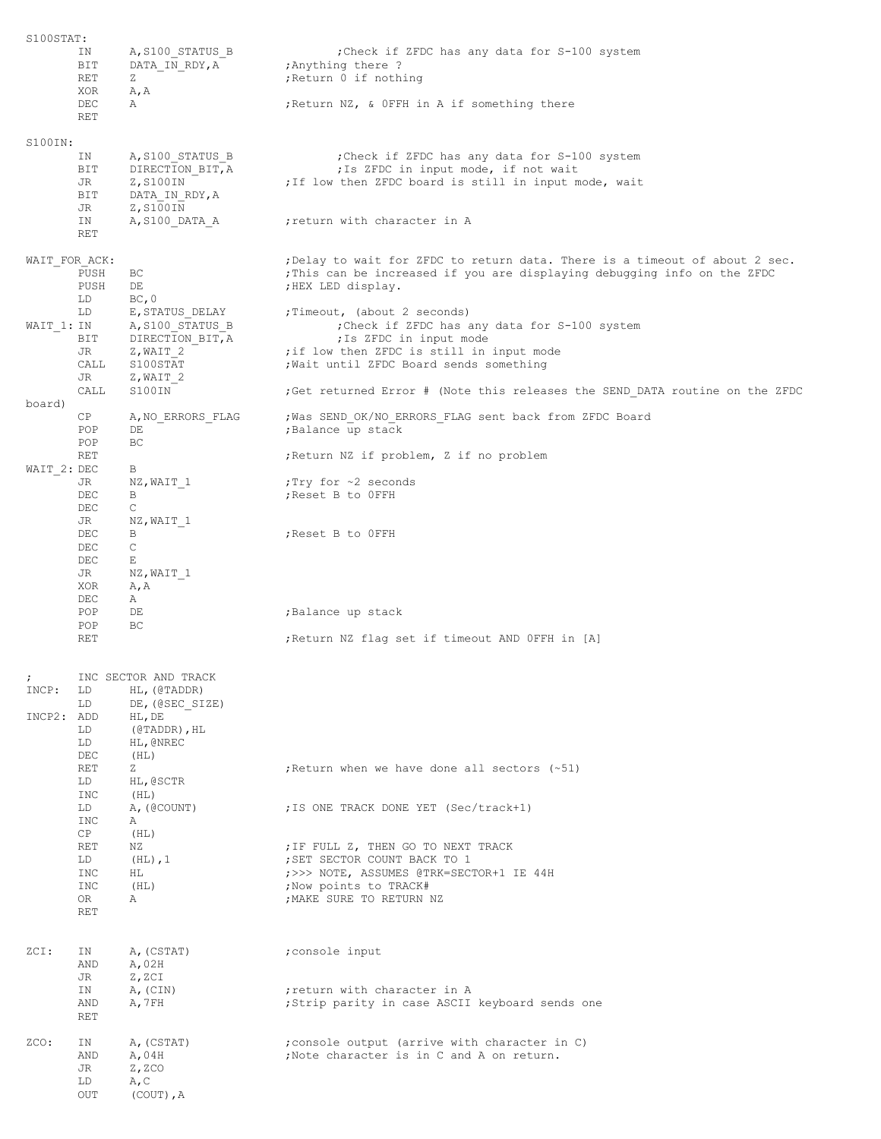| S100STAT:     |            |                                      |                                                                                      |
|---------------|------------|--------------------------------------|--------------------------------------------------------------------------------------|
|               | IN         | A, S100 STATUS B                     | : Check if ZFDC has any data for S-100 system                                        |
|               | BIT        | DATA IN RDY, A                       | ; Anything there?                                                                    |
|               | <b>RET</b> | Ζ                                    | ; Return 0 if nothing                                                                |
|               | XOR<br>DEC | A, A<br>Α                            | ; Return NZ, & OFFH in A if something there                                          |
|               | <b>RET</b> |                                      |                                                                                      |
|               |            |                                      |                                                                                      |
| S100IN:       |            |                                      |                                                                                      |
|               | ΙN<br>BIT  | A, S100 STATUS B<br>DIRECTION BIT, A | Check if ZFDC has any data for S-100 system;<br>; Is ZFDC in input mode, if not wait |
|               | JR         | Z,S100IN                             | If low then ZFDC board is still in input mode, wait,                                 |
|               | BIT        | DATA IN RDY, A                       |                                                                                      |
|               | JR         | Z, S100IN                            |                                                                                      |
|               | ΙN         | A, S100 DATA A                       | return with character in A                                                           |
|               | RET        |                                      |                                                                                      |
| WAIT FOR ACK: |            |                                      | ; Delay to wait for ZFDC to return data. There is a timeout of about 2 sec.          |
|               | PUSH       | ВC                                   | This can be increased if you are displaying debugging info on the ZFDC;              |
|               | PUSH       | DE                                   | ;HEX LED display.                                                                    |
|               | LD         | BC, 0                                |                                                                                      |
| WAIT 1: IN    | LD         | E, STATUS DELAY<br>A, S100 STATUS B  | ; Timeout, (about 2 seconds)<br>; Check if ZFDC has any data for S-100 system        |
|               | BIT        | DIRECTION BIT, A                     | ; Is ZFDC in input mode                                                              |
|               | JR         | Z,WAIT 2                             | ; if low then ZFDC is still in input mode                                            |
|               | CALL       | S100STAT                             | ; Wait until ZFDC Board sends something                                              |
|               | JR         | Z, WAIT 2                            |                                                                                      |
| board)        | CALL       | S100IN                               | ;Get returned Error # (Note this releases the SEND DATA routine on the ZFDC          |
|               | СP         | A, NO ERRORS FLAG                    | ; Was SEND OK/NO ERRORS FLAG sent back from ZFDC Board                               |
|               | POP        | DE                                   | ; Balance up stack                                                                   |
|               | POP        | ВC                                   |                                                                                      |
| WAIT 2: DEC   | RET        | В                                    | ; Return NZ if problem, Z if no problem                                              |
|               | JR         | NZ,WAIT 1                            | :Try for ~2 seconds                                                                  |
|               | DEC        | В                                    | ; Reset B to OFFH                                                                    |
|               | DEC        | С                                    |                                                                                      |
|               | JR         | NZ, WAIT 1                           |                                                                                      |
|               | DEC<br>DEC | В<br>С                               | ; Reset B to OFFH                                                                    |
|               | DEC        | Е                                    |                                                                                      |
|               | JR         | NZ, WAIT 1                           |                                                                                      |
|               | XOR        | A, A                                 |                                                                                      |
|               | DEC        | A                                    |                                                                                      |
|               | POP<br>POP | DE<br>ВC                             | ;Balance up stack                                                                    |
|               | RET        |                                      | Return NZ flag set if timeout AND OFFH in [A]                                        |
|               |            |                                      |                                                                                      |
|               |            | INC SECTOR AND TRACK                 |                                                                                      |
| ÷.<br>INCP:   | LD         | HL, (@TADDR)                         |                                                                                      |
|               | LD         | DE, (@SEC SIZE)                      |                                                                                      |
| INCP2: ADD    |            | HL, DE                               |                                                                                      |
|               | LD         | $(\texttt{@TADDR}), \texttt{HL}$     |                                                                                      |
|               | LD         | HL, @NREC                            |                                                                                      |
|               | DEC<br>RET | (HL)<br>Ζ                            | ; Return when we have done all sectors (~51)                                         |
|               | LD         | HL, @SCTR                            |                                                                                      |
|               | INC        | (HL)                                 |                                                                                      |
|               | LD         | A, (@COUNT)                          | ; IS ONE TRACK DONE YET (Sec/track+1)                                                |
|               | INC        | Α                                    |                                                                                      |
|               | CP<br>RET  | (HL)                                 |                                                                                      |
|               | LD         | ΝZ<br>$(HL)$ , 1                     | ; IF FULL Z, THEN GO TO NEXT TRACK<br>; SET SECTOR COUNT BACK TO 1                   |
|               | INC        | HL                                   | ; >>> NOTE, ASSUMES @TRK=SECTOR+1 IE 44H                                             |
|               | INC        | (HL)                                 | ; Now points to TRACK#                                                               |
|               | OR         | Α                                    | ; MAKE SURE TO RETURN NZ                                                             |
|               | <b>RET</b> |                                      |                                                                                      |
|               |            |                                      |                                                                                      |
| ZCI:          | ΙN         | A, (CSTAT)                           | ;console input                                                                       |
|               | AND        | A,02H                                |                                                                                      |
|               | JR<br>ΙN   | Z, ZCI<br>A, (CIN)                   | ; return with character in A                                                         |
|               | AND        | A,7FH                                | Strip parity in case ASCII keyboard sends one;                                       |
|               | <b>RET</b> |                                      |                                                                                      |
|               |            |                                      |                                                                                      |
| ZCO:          | ΙN         | A, (CSTAT)                           | ; console output (arrive with character in C)                                        |
|               | AND<br>JR  | A,04H                                | ;Note character is in C and A on return.                                             |
|               | LD         | Z, ZCO<br>A, C                       |                                                                                      |
|               | OUT        | (COUT), A                            |                                                                                      |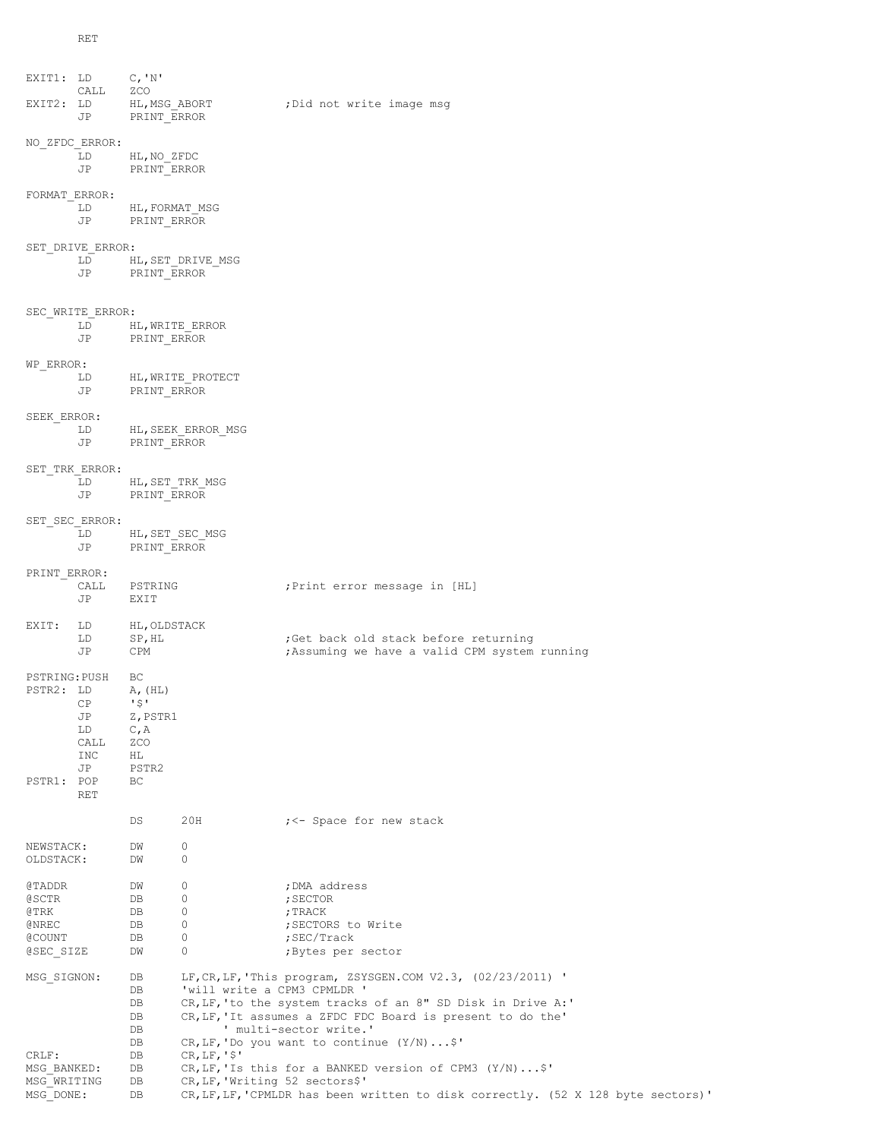| EXIT1: LD                |                        | C, 'N'                       |                                |                                                                                  |
|--------------------------|------------------------|------------------------------|--------------------------------|----------------------------------------------------------------------------------|
|                          | CALL                   | ZCO                          |                                |                                                                                  |
| EXIT2: LD                | JP                     | HL, MSG ABORT<br>PRINT ERROR |                                | ; Did not write image msg                                                        |
|                          | NO ZFDC ERROR:         |                              |                                |                                                                                  |
|                          | LD                     | HL, NO ZFDC                  |                                |                                                                                  |
|                          | JP                     | PRINT ERROR                  |                                |                                                                                  |
|                          |                        |                              |                                |                                                                                  |
| FORMAT ERROR:            | LD                     | HL, FORMAT MSG               |                                |                                                                                  |
|                          | JP                     | PRINT ERROR                  |                                |                                                                                  |
|                          |                        |                              |                                |                                                                                  |
|                          | SET DRIVE ERROR:<br>LD |                              | HL, SET DRIVE MSG              |                                                                                  |
|                          | JP                     | PRINT ERROR                  |                                |                                                                                  |
|                          | SEC WRITE ERROR:       |                              |                                |                                                                                  |
|                          | LD                     |                              | HL, WRITE ERROR                |                                                                                  |
|                          | JP                     | PRINT_ERROR                  |                                |                                                                                  |
|                          |                        |                              |                                |                                                                                  |
| WP ERROR:                | LD                     |                              | HL, WRITE PROTECT              |                                                                                  |
|                          | JP                     | PRINT ERROR                  |                                |                                                                                  |
|                          |                        |                              |                                |                                                                                  |
| SEEK ERROR:              | LD                     |                              | HL, SEEK ERROR MSG             |                                                                                  |
|                          | JP                     | PRINT ERROR                  |                                |                                                                                  |
|                          | SET TRK ERROR:         |                              |                                |                                                                                  |
|                          | LD                     |                              | HL, SET TRK MSG                |                                                                                  |
|                          | JP                     | PRINT ERROR                  |                                |                                                                                  |
|                          | SET SEC ERROR:         |                              |                                |                                                                                  |
|                          | LD                     |                              | HL, SET SEC MSG                |                                                                                  |
|                          | JP                     | PRINT ERROR                  |                                |                                                                                  |
| PRINT ERROR:             |                        |                              |                                |                                                                                  |
|                          | CALL                   | PSTRING                      |                                | ; Print error message in [HL]                                                    |
|                          | JP                     | EXIT                         |                                |                                                                                  |
| EXIT:                    | LD                     | HL, OLDSTACK                 |                                |                                                                                  |
|                          | LD                     | SP, HL                       |                                | ; Get back old stack before returning                                            |
|                          | JP                     | CPM                          |                                | ; Assuming we have a valid CPM system running                                    |
| PSTRING: PUSH            |                        | ВC                           |                                |                                                                                  |
| PSTR2: LD                |                        | A, (HL)                      |                                |                                                                                  |
|                          | CP                     | $\sqrt{5}$                   |                                |                                                                                  |
|                          | JP                     | Z, PSTR1                     |                                |                                                                                  |
|                          | LD<br>CALL             | C, A<br>ZCO                  |                                |                                                                                  |
|                          | <b>INC</b>             | HL                           |                                |                                                                                  |
|                          | JP                     | PSTR2                        |                                |                                                                                  |
| PSTR1: POP               | <b>RET</b>             | ВC                           |                                |                                                                                  |
|                          |                        | DS                           | 20H                            | ; <- Space for new stack                                                         |
|                          |                        |                              |                                |                                                                                  |
| NEWSTACK:<br>OLDSTACK:   |                        | DW<br>DW                     | 0<br>0                         |                                                                                  |
| @TADDR                   |                        | DW                           | 0                              | ; DMA address                                                                    |
| @SCTR                    |                        | DB                           | 0                              | ; SECTOR                                                                         |
| @TRK                     |                        | DB                           | 0                              | ; TRACK                                                                          |
| @NREC<br>@COUNT          |                        | DB<br>DB                     | 0<br>0                         | ; SECTORS to Write<br>; SEC/Track                                                |
| @SEC SIZE                |                        | DW                           | $\circ$                        | ;Bytes per sector                                                                |
| MSG SIGNON:              |                        | DB                           |                                | LF, CR, LF, 'This program, ZSYSGEN.COM $V2.3$ , $(02/23/2011)$ '                 |
|                          |                        | DB                           | 'will write a CPM3 CPMLDR '    |                                                                                  |
|                          |                        | DB                           |                                | CR, LF, 'to the system tracks of an 8" SD Disk in Drive A:'                      |
|                          |                        | DB                           |                                | CR, LF, 'It assumes a ZFDC FDC Board is present to do the'                       |
|                          |                        | DB<br>DB                     |                                | ' multi-sector write.'<br>$CR, LF, 'Do you want to continue (Y/N)$               |
| CRLF:                    |                        | DB                           | $CR, LF, '$ \$'                |                                                                                  |
| MSG BANKED:              |                        | DB                           |                                | CR, LF, 'Is this for a BANKED version of CPM3 $(Y/N) \ldots$ \$'                 |
| MSG WRITING<br>MSG DONE: |                        | DB<br>DB                     | CR, LF, 'Writing 52 sectors\$' | CR, LF, LF, 'CPMLDR has been written to disk correctly. (52 X 128 byte sectors)' |
|                          |                        |                              |                                |                                                                                  |